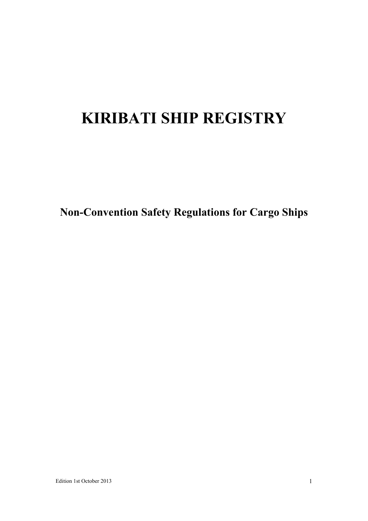# **KIRIBATI SHIP REGISTRY**

**Non-Convention Safety Regulations for Cargo Ships**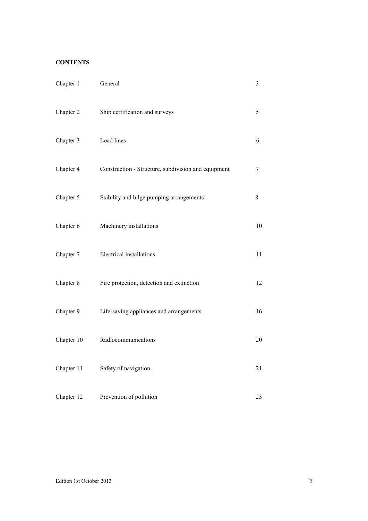# **CONTENTS**

| Chapter 1  | General                                             | 3  |
|------------|-----------------------------------------------------|----|
| Chapter 2  | Ship certification and surveys                      | 5  |
| Chapter 3  | Load lines                                          | 6  |
| Chapter 4  | Construction - Structure, subdivision and equipment | 7  |
| Chapter 5  | Stability and bilge pumping arrangements            | 8  |
| Chapter 6  | Machinery installations                             | 10 |
| Chapter 7  | Electrical installations                            | 11 |
| Chapter 8  | Fire protection, detection and extinction           | 12 |
| Chapter 9  | Life-saving appliances and arrangements             | 16 |
| Chapter 10 | Radiocommunications                                 | 20 |
| Chapter 11 | Safety of navigation                                | 21 |
| Chapter 12 | Prevention of pollution                             | 23 |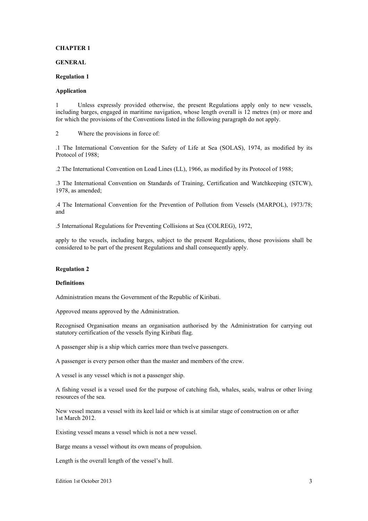## **GENERAL**

#### **Regulation 1**

# **Application**

1 Unless expressly provided otherwise, the present Regulations apply only to new vessels, including barges, engaged in maritime navigation, whose length overall is 12 metres (m) or more and for which the provisions of the Conventions listed in the following paragraph do not apply.

2 Where the provisions in force of:

.1 The International Convention for the Safety of Life at Sea (SOLAS), 1974, as modified by its Protocol of 1988;

.2 The International Convention on Load Lines (LL), 1966, as modified by its Protocol of 1988;

.3 The International Convention on Standards of Training, Certification and Watchkeeping (STCW), 1978, as amended;

.4 The International Convention for the Prevention of Pollution from Vessels (MARPOL), 1973/78; and

.5 International Regulations for Preventing Collisions at Sea (COLREG), 1972,

apply to the vessels, including barges, subject to the present Regulations, those provisions shall be considered to be part of the present Regulations and shall consequently apply.

#### **Regulation 2**

#### **Definitions**

Administration means the Government of the Republic of Kiribati.

Approved means approved by the Administration.

Recognised Organisation means an organisation authorised by the Administration for carrying out statutory certification of the vessels flying Kiribati flag.

A passenger ship is a ship which carries more than twelve passengers.

A passenger is every person other than the master and members of the crew.

A vessel is any vessel which is not a passenger ship.

A fishing vessel is a vessel used for the purpose of catching fish, whales, seals, walrus or other living resources of the sea.

New vessel means a vessel with its keel laid or which is at similar stage of construction on or after 1st March 2012.

Existing vessel means a vessel which is not a new vessel.

Barge means a vessel without its own means of propulsion.

Length is the overall length of the vessel's hull.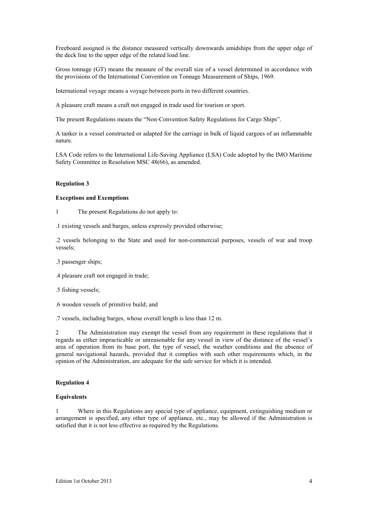Freeboard assigned is the distance measured vertically downwards amidships from the upper edge of the deck line to the upper edge of the related load line.

Gross tonnage (GT) means the measure of the overall size of a vessel determined in accordance with the provisions of the International Convention on Tonnage Measurement of Ships, 1969.

International voyage means a voyage between ports in two different countries.

A pleasure craft means a craft not engaged in trade used for tourism or sport.

The present Regulations means the "Non-Convention Safety Regulations for Cargo Ships".

A tanker is a vessel constructed or adapted for the carriage in bulk of liquid cargoes of an inflammable nature.

LSA Code refers to the International Life-Saving Appliance (LSA) Code adopted by the IMO Maritime Safety Committee in Resolution MSC 48(66), as amended.

## **Regulation 3**

#### **Exceptions and Exemptions**

1 The present Regulations do not apply to:

.1 existing vessels and barges, unless expressly provided otherwise;

.2 vessels belonging to the State and used for non-commercial purposes, vessels of war and troop vessels;

- .3 passenger ships;
- .4 pleasure craft not engaged in trade;
- .5 fishing vessels;
- .6 wooden vessels of primitive build; and
- .7 vessels, including barges, whose overall length is less than 12 m.

2 The Administration may exempt the vessel from any requirement in these regulations that it regards as either impracticable or unreasonable for any vessel in view of the distance of the vessel's area of operation from its base port, the type of vessel, the weather conditions and the absence of general navigational hazards, provided that it complies with such other requirements which, in the opinion of the Administration, are adequate for the safe service for which it is intended.

## **Regulation 4**

## **Equivalents**

1 Where in this Regulations any special type of appliance, equipment, extinguishing medium or arrangement is specified, any other type of appliance, etc., may be allowed if the Administration is satisfied that it is not less effective as required by the Regulations.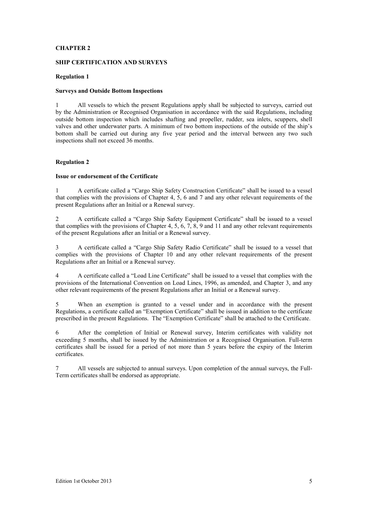# **SHIP CERTIFICATION AND SURVEYS**

## **Regulation 1**

## **Surveys and Outside Bottom Inspections**

1 All vessels to which the present Regulations apply shall be subjected to surveys, carried out by the Administration or Recognised Organisation in accordance with the said Regulations, including outside bottom inspection which includes shafting and propeller, rudder, sea inlets, scuppers, shell valves and other underwater parts. A minimum of two bottom inspections of the outside of the ship's bottom shall be carried out during any five year period and the interval between any two such inspections shall not exceed 36 months.

## **Regulation 2**

## **Issue or endorsement of the Certificate**

1 A certificate called a "Cargo Ship Safety Construction Certificate" shall be issued to a vessel that complies with the provisions of Chapter 4, 5, 6 and 7 and any other relevant requirements of the present Regulations after an Initial or a Renewal survey.

2 A certificate called a "Cargo Ship Safety Equipment Certificate" shall be issued to a vessel that complies with the provisions of Chapter 4, 5, 6, 7, 8, 9 and 11 and any other relevant requirements of the present Regulations after an Initial or a Renewal survey.

3 A certificate called a "Cargo Ship Safety Radio Certificate" shall be issued to a vessel that complies with the provisions of Chapter 10 and any other relevant requirements of the present Regulations after an Initial or a Renewal survey.

4 A certificate called a "Load Line Certificate" shall be issued to a vessel that complies with the provisions of the International Convention on Load Lines, 1996, as amended, and Chapter 3, and any other relevant requirements of the present Regulations after an Initial or a Renewal survey.

5 When an exemption is granted to a vessel under and in accordance with the present Regulations, a certificate called an "Exemption Certificate" shall be issued in addition to the certificate prescribed in the present Regulations. The "Exemption Certificate" shall be attached to the Certificate.

6 After the completion of Initial or Renewal survey, Interim certificates with validity not exceeding 5 months, shall be issued by the Administration or a Recognised Organisation. Full-term certificates shall be issued for a period of not more than 5 years before the expiry of the Interim certificates.

7 All vessels are subjected to annual surveys. Upon completion of the annual surveys, the Full-Term certificates shall be endorsed as appropriate.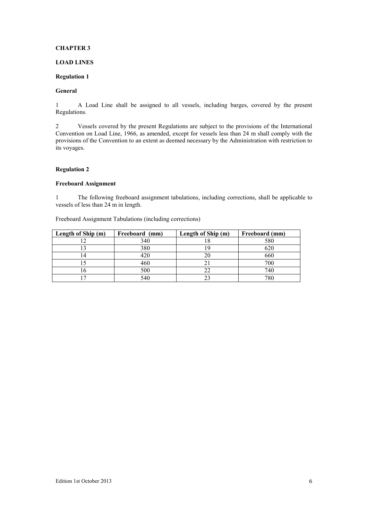# **LOAD LINES**

# **Regulation 1**

# **General**

1 A Load Line shall be assigned to all vessels, including barges, covered by the present Regulations.

2 Vessels covered by the present Regulations are subject to the provisions of the International Convention on Load Line, 1966, as amended, except for vessels less than 24 m shall comply with the provisions of the Convention to an extent as deemed necessary by the Administration with restriction to its voyages.

# **Regulation 2**

# **Freeboard Assignment**

1 The following freeboard assignment tabulations, including corrections, shall be applicable to vessels of less than 24 m in length.

Freeboard Assignment Tabulations (including corrections)

| Length of Ship (m) | Freeboard (mm) | Length of Ship (m) | Freeboard (mm) |
|--------------------|----------------|--------------------|----------------|
|                    | 340            | .                  | 580            |
|                    | 380            |                    | 620            |
|                    | 420            |                    | 660            |
|                    | 460            |                    | 700            |
|                    | 500            |                    | 740            |
|                    | 540            | ^^                 |                |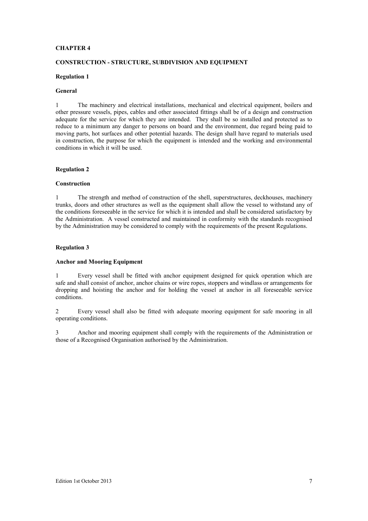## **CONSTRUCTION - STRUCTURE, SUBDIVISION AND EQUIPMENT**

## **Regulation 1**

## **General**

1 The machinery and electrical installations, mechanical and electrical equipment, boilers and other pressure vessels, pipes, cables and other associated fittings shall be of a design and construction adequate for the service for which they are intended. They shall be so installed and protected as to reduce to a minimum any danger to persons on board and the environment, due regard being paid to moving parts, hot surfaces and other potential hazards. The design shall have regard to materials used in construction, the purpose for which the equipment is intended and the working and environmental conditions in which it will be used.

## **Regulation 2**

#### **Construction**

1 The strength and method of construction of the shell, superstructures, deckhouses, machinery trunks, doors and other structures as well as the equipment shall allow the vessel to withstand any of the conditions foreseeable in the service for which it is intended and shall be considered satisfactory by the Administration. A vessel constructed and maintained in conformity with the standards recognised by the Administration may be considered to comply with the requirements of the present Regulations.

# **Regulation 3**

#### **Anchor and Mooring Equipment**

1 Every vessel shall be fitted with anchor equipment designed for quick operation which are safe and shall consist of anchor, anchor chains or wire ropes, stoppers and windlass or arrangements for dropping and hoisting the anchor and for holding the vessel at anchor in all foreseeable service conditions.

2 Every vessel shall also be fitted with adequate mooring equipment for safe mooring in all operating conditions.

3 Anchor and mooring equipment shall comply with the requirements of the Administration or those of a Recognised Organisation authorised by the Administration.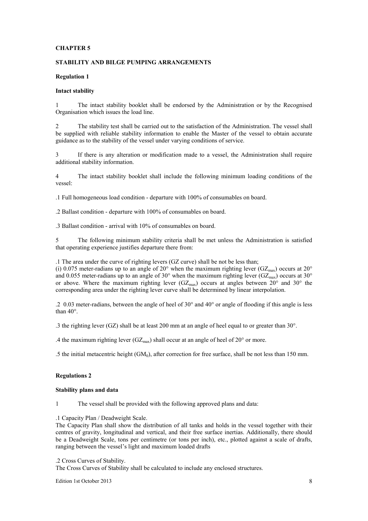## **STABILITY AND BILGE PUMPING ARRANGEMENTS**

#### **Regulation 1**

# **Intact stability**

1 The intact stability booklet shall be endorsed by the Administration or by the Recognised Organisation which issues the load line.

2 The stability test shall be carried out to the satisfaction of the Administration. The vessel shall be supplied with reliable stability information to enable the Master of the vessel to obtain accurate guidance as to the stability of the vessel under varying conditions of service.

3 If there is any alteration or modification made to a vessel, the Administration shall require additional stability information.

4 The intact stability booklet shall include the following minimum loading conditions of the vessel:

.1 Full homogeneous load condition - departure with 100% of consumables on board.

.2 Ballast condition - departure with 100% of consumables on board.

.3 Ballast condition - arrival with 10% of consumables on board.

5 The following minimum stability criteria shall be met unless the Administration is satisfied that operating experience justifies departure there from:

.1 The area under the curve of righting levers (GZ curve) shall be not be less than;

(i) 0.075 meter-radians up to an angle of 20° when the maximum righting lever (GZ<sub>max</sub>) occurs at 20° and 0.055 meter-radians up to an angle of 30° when the maximum righting lever (GZ<sub>max</sub>) occurs at 30° or above. Where the maximum righting lever  $(GZ<sub>max</sub>)$  occurs at angles between 20° and 30° the corresponding area under the righting lever curve shall be determined by linear interpolation.

.2 0.03 meter-radians, between the angle of heel of 30° and 40° or angle of flooding if this angle is less than 40°.

.3 the righting lever (GZ) shall be at least 200 mm at an angle of heel equal to or greater than 30°.

.4 the maximum righting lever  $(GZ_{\text{max}})$  shall occur at an angle of heel of 20 $^{\circ}$  or more.

.5 the initial metacentric height  $(GM_0)$ , after correction for free surface, shall be not less than 150 mm.

# **Regulations 2**

# **Stability plans and data**

1 The vessel shall be provided with the following approved plans and data:

.1 Capacity Plan / Deadweight Scale.

The Capacity Plan shall show the distribution of all tanks and holds in the vessel together with their centres of gravity, longitudinal and vertical, and their free surface inertias. Additionally, there should be a Deadweight Scale, tons per centimetre (or tons per inch), etc., plotted against a scale of drafts, ranging between the vessel's light and maximum loaded drafts

# .2 Cross Curves of Stability.

The Cross Curves of Stability shall be calculated to include any enclosed structures.

Edition 1st October 2013 8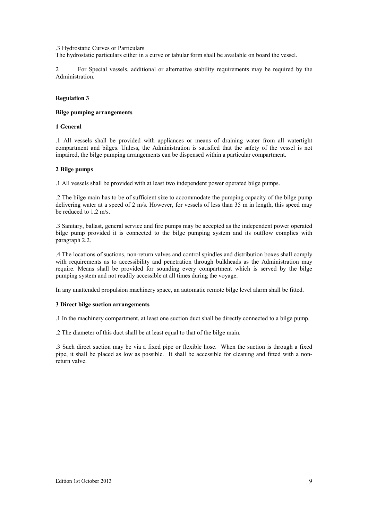#### .3 Hydrostatic Curves or Particulars

The hydrostatic particulars either in a curve or tabular form shall be available on board the vessel.

2 For Special vessels, additional or alternative stability requirements may be required by the Administration.

## **Regulation 3**

## **Bilge pumping arrangements**

## **1 General**

.1 All vessels shall be provided with appliances or means of draining water from all watertight compartment and bilges. Unless, the Administration is satisfied that the safety of the vessel is not impaired, the bilge pumping arrangements can be dispensed within a particular compartment.

## **2 Bilge pumps**

.1 All vessels shall be provided with at least two independent power operated bilge pumps.

.2 The bilge main has to be of sufficient size to accommodate the pumping capacity of the bilge pump delivering water at a speed of 2 m/s. However, for vessels of less than 35 m in length, this speed may be reduced to 1.2 m/s.

.3 Sanitary, ballast, general service and fire pumps may be accepted as the independent power operated bilge pump provided it is connected to the bilge pumping system and its outflow complies with paragraph 2.2.

.4 The locations of suctions, non-return valves and control spindles and distribution boxes shall comply with requirements as to accessibility and penetration through bulkheads as the Administration may require. Means shall be provided for sounding every compartment which is served by the bilge pumping system and not readily accessible at all times during the voyage.

In any unattended propulsion machinery space, an automatic remote bilge level alarm shall be fitted.

## **3 Direct bilge suction arrangements**

.1 In the machinery compartment, at least one suction duct shall be directly connected to a bilge pump.

.2 The diameter of this duct shall be at least equal to that of the bilge main.

.3 Such direct suction may be via a fixed pipe or flexible hose. When the suction is through a fixed pipe, it shall be placed as low as possible. It shall be accessible for cleaning and fitted with a nonreturn valve.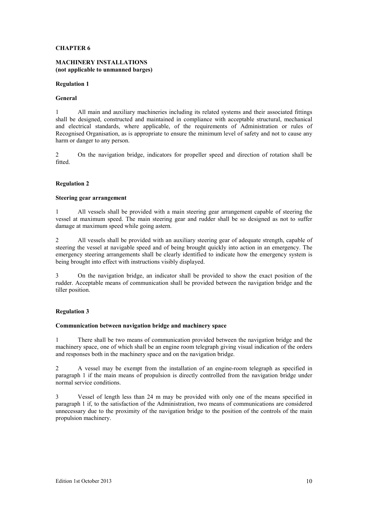## **MACHINERY INSTALLATIONS (not applicable to unmanned barges)**

## **Regulation 1**

## **General**

1 All main and auxiliary machineries including its related systems and their associated fittings shall be designed, constructed and maintained in compliance with acceptable structural, mechanical and electrical standards, where applicable, of the requirements of Administration or rules of Recognised Organisation, as is appropriate to ensure the minimum level of safety and not to cause any harm or danger to any person.

2 On the navigation bridge, indicators for propeller speed and direction of rotation shall be fitted.

# **Regulation 2**

#### **Steering gear arrangement**

1 All vessels shall be provided with a main steering gear arrangement capable of steering the vessel at maximum speed. The main steering gear and rudder shall be so designed as not to suffer damage at maximum speed while going astern.

2 All vessels shall be provided with an auxiliary steering gear of adequate strength, capable of steering the vessel at navigable speed and of being brought quickly into action in an emergency. The emergency steering arrangements shall be clearly identified to indicate how the emergency system is being brought into effect with instructions visibly displayed.

3 On the navigation bridge, an indicator shall be provided to show the exact position of the rudder. Acceptable means of communication shall be provided between the navigation bridge and the tiller position.

# **Regulation 3**

#### **Communication between navigation bridge and machinery space**

1 There shall be two means of communication provided between the navigation bridge and the machinery space, one of which shall be an engine room telegraph giving visual indication of the orders and responses both in the machinery space and on the navigation bridge.

2 A vessel may be exempt from the installation of an engine-room telegraph as specified in paragraph 1 if the main means of propulsion is directly controlled from the navigation bridge under normal service conditions.

3 Vessel of length less than 24 m may be provided with only one of the means specified in paragraph 1 if, to the satisfaction of the Administration, two means of communications are considered unnecessary due to the proximity of the navigation bridge to the position of the controls of the main propulsion machinery.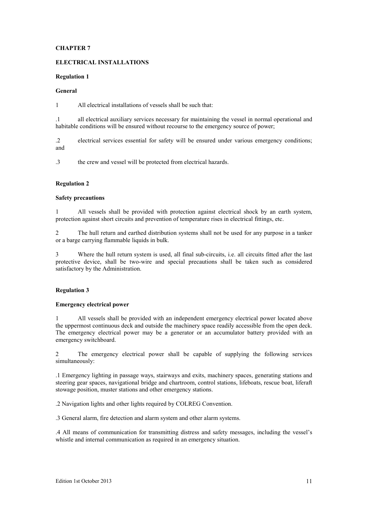# **ELECTRICAL INSTALLATIONS**

# **Regulation 1**

# **General**

1 All electrical installations of vessels shall be such that:

.1 all electrical auxiliary services necessary for maintaining the vessel in normal operational and habitable conditions will be ensured without recourse to the emergency source of power;

.2 electrical services essential for safety will be ensured under various emergency conditions; and

.3 the crew and vessel will be protected from electrical hazards.

# **Regulation 2**

# **Safety precautions**

1 All vessels shall be provided with protection against electrical shock by an earth system, protection against short circuits and prevention of temperature rises in electrical fittings, etc.

2 The hull return and earthed distribution systems shall not be used for any purpose in a tanker or a barge carrying flammable liquids in bulk.

3 Where the hull return system is used, all final sub-circuits, i.e. all circuits fitted after the last protective device, shall be two-wire and special precautions shall be taken such as considered satisfactory by the Administration.

# **Regulation 3**

# **Emergency electrical power**

1 All vessels shall be provided with an independent emergency electrical power located above the uppermost continuous deck and outside the machinery space readily accessible from the open deck. The emergency electrical power may be a generator or an accumulator battery provided with an emergency switchboard.

2 The emergency electrical power shall be capable of supplying the following services simultaneously:

.1 Emergency lighting in passage ways, stairways and exits, machinery spaces, generating stations and steering gear spaces, navigational bridge and chartroom, control stations, lifeboats, rescue boat, liferaft stowage position, muster stations and other emergency stations.

.2 Navigation lights and other lights required by COLREG Convention.

.3 General alarm, fire detection and alarm system and other alarm systems.

.4 All means of communication for transmitting distress and safety messages, including the vessel's whistle and internal communication as required in an emergency situation.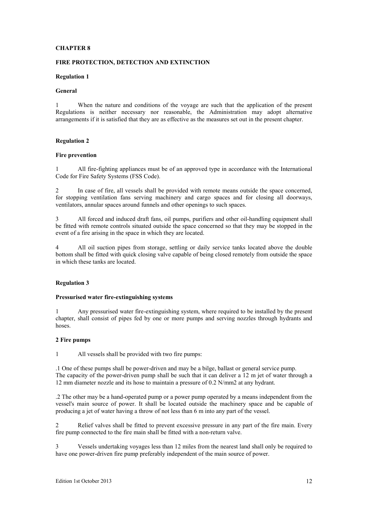## **FIRE PROTECTION, DETECTION AND EXTINCTION**

#### **Regulation 1**

## **General**

1 When the nature and conditions of the voyage are such that the application of the present Regulations is neither necessary nor reasonable, the Administration may adopt alternative arrangements if it is satisfied that they are as effective as the measures set out in the present chapter.

## **Regulation 2**

## **Fire prevention**

All fire-fighting appliances must be of an approved type in accordance with the International Code for Fire Safety Systems (FSS Code).

2 In case of fire, all vessels shall be provided with remote means outside the space concerned, for stopping ventilation fans serving machinery and cargo spaces and for closing all doorways, ventilators, annular spaces around funnels and other openings to such spaces.

3 All forced and induced draft fans, oil pumps, purifiers and other oil-handling equipment shall be fitted with remote controls situated outside the space concerned so that they may be stopped in the event of a fire arising in the space in which they are located.

4 All oil suction pipes from storage, settling or daily service tanks located above the double bottom shall be fitted with quick closing valve capable of being closed remotely from outside the space in which these tanks are located.

#### **Regulation 3**

## **Pressurised water fire-extinguishing systems**

1 Any pressurised water fire-extinguishing system, where required to be installed by the present chapter, shall consist of pipes fed by one or more pumps and serving nozzles through hydrants and hoses.

## **2 Fire pumps**

1 All vessels shall be provided with two fire pumps:

.1 One of these pumps shall be power-driven and may be a bilge, ballast or general service pump. The capacity of the power-driven pump shall be such that it can deliver a 12 m jet of water through a 12 mm diameter nozzle and its hose to maintain a pressure of 0.2 N/mm2 at any hydrant.

.2 The other may be a hand-operated pump or a power pump operated by a means independent from the vessel's main source of power. It shall be located outside the machinery space and be capable of producing a jet of water having a throw of not less than 6 m into any part of the vessel.

2 Relief valves shall be fitted to prevent excessive pressure in any part of the fire main. Every fire pump connected to the fire main shall be fitted with a non-return valve.

3 Vessels undertaking voyages less than 12 miles from the nearest land shall only be required to have one power-driven fire pump preferably independent of the main source of power.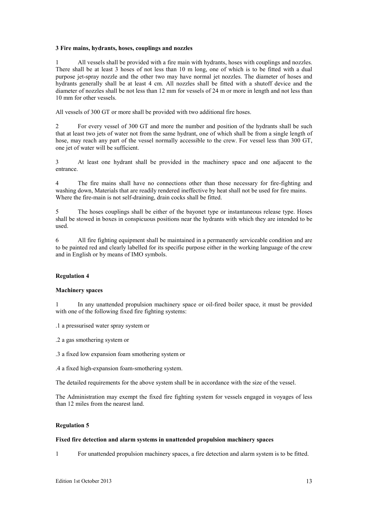## **3 Fire mains, hydrants, hoses, couplings and nozzles**

1 All vessels shall be provided with a fire main with hydrants, hoses with couplings and nozzles. There shall be at least 3 hoses of not less than 10 m long, one of which is to be fitted with a dual purpose jet-spray nozzle and the other two may have normal jet nozzles. The diameter of hoses and hydrants generally shall be at least 4 cm. All nozzles shall be fitted with a shutoff device and the diameter of nozzles shall be not less than 12 mm for vessels of 24 m or more in length and not less than 10 mm for other vessels.

All vessels of 300 GT or more shall be provided with two additional fire hoses.

2 For every vessel of 300 GT and more the number and position of the hydrants shall be such that at least two jets of water not from the same hydrant, one of which shall be from a single length of hose, may reach any part of the vessel normally accessible to the crew. For vessel less than 300 GT, one jet of water will be sufficient.

3 At least one hydrant shall be provided in the machinery space and one adjacent to the entrance.

4 The fire mains shall have no connections other than those necessary for fire-fighting and washing down, Materials that are readily rendered ineffective by heat shall not be used for fire mains. Where the fire-main is not self-draining, drain cocks shall be fitted.

5 The hoses couplings shall be either of the bayonet type or instantaneous release type. Hoses shall be stowed in boxes in conspicuous positions near the hydrants with which they are intended to be used.

6 All fire fighting equipment shall be maintained in a permanently serviceable condition and are to be painted red and clearly labelled for its specific purpose either in the working language of the crew and in English or by means of IMO symbols.

# **Regulation 4**

# **Machinery spaces**

1 In any unattended propulsion machinery space or oil-fired boiler space, it must be provided with one of the following fixed fire fighting systems:

.1 a pressurised water spray system or

.2 a gas smothering system or

.3 a fixed low expansion foam smothering system or

.4 a fixed high-expansion foam-smothering system.

The detailed requirements for the above system shall be in accordance with the size of the vessel.

The Administration may exempt the fixed fire fighting system for vessels engaged in voyages of less than 12 miles from the nearest land.

# **Regulation 5**

#### **Fixed fire detection and alarm systems in unattended propulsion machinery spaces**

1 For unattended propulsion machinery spaces, a fire detection and alarm system is to be fitted.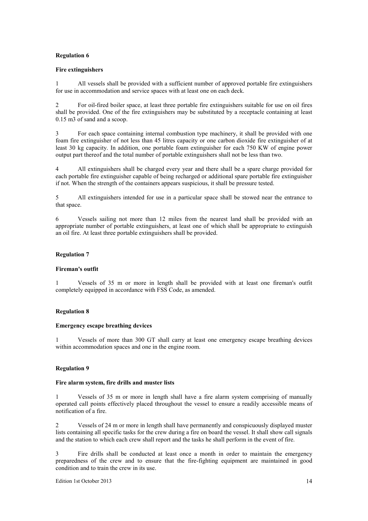## **Regulation 6**

## **Fire extinguishers**

1 All vessels shall be provided with a sufficient number of approved portable fire extinguishers for use in accommodation and service spaces with at least one on each deck.

2 For oil-fired boiler space, at least three portable fire extinguishers suitable for use on oil fires shall be provided. One of the fire extinguishers may be substituted by a receptacle containing at least 0.15 m3 of sand and a scoop.

3 For each space containing internal combustion type machinery, it shall be provided with one foam fire extinguisher of not less than 45 litres capacity or one carbon dioxide fire extinguisher of at least 30 kg capacity. In addition, one portable foam extinguisher for each 750 KW of engine power output part thereof and the total number of portable extinguishers shall not be less than two.

4 All extinguishers shall be charged every year and there shall be a spare charge provided for each portable fire extinguisher capable of being recharged or additional spare portable fire extinguisher if not. When the strength of the containers appears suspicious, it shall be pressure tested.

5 All extinguishers intended for use in a particular space shall be stowed near the entrance to that space.

6 Vessels sailing not more than 12 miles from the nearest land shall be provided with an appropriate number of portable extinguishers, at least one of which shall be appropriate to extinguish an oil fire. At least three portable extinguishers shall be provided.

## **Regulation 7**

#### **Fireman's outfit**

1 Vessels of 35 m or more in length shall be provided with at least one fireman's outfit completely equipped in accordance with FSS Code, as amended.

## **Regulation 8**

#### **Emergency escape breathing devices**

1 Vessels of more than 300 GT shall carry at least one emergency escape breathing devices within accommodation spaces and one in the engine room.

# **Regulation 9**

## **Fire alarm system, fire drills and muster lists**

1 Vessels of 35 m or more in length shall have a fire alarm system comprising of manually operated call points effectively placed throughout the vessel to ensure a readily accessible means of notification of a fire.

2 Vessels of 24 m or more in length shall have permanently and conspicuously displayed muster lists containing all specific tasks for the crew during a fire on board the vessel. It shall show call signals and the station to which each crew shall report and the tasks he shall perform in the event of fire.

3 Fire drills shall be conducted at least once a month in order to maintain the emergency preparedness of the crew and to ensure that the fire-fighting equipment are maintained in good condition and to train the crew in its use.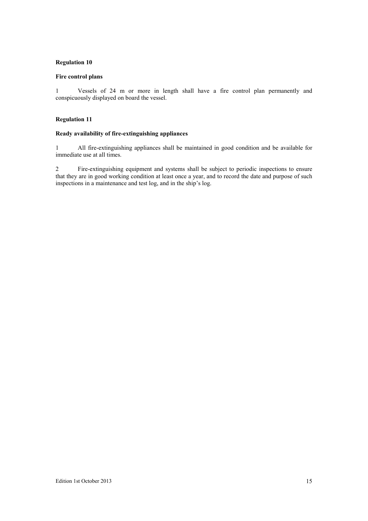## **Regulation 10**

# **Fire control plans**

1 Vessels of 24 m or more in length shall have a fire control plan permanently and conspicuously displayed on board the vessel.

# **Regulation 11**

# **Ready availability of fire-extinguishing appliances**

1 All fire-extinguishing appliances shall be maintained in good condition and be available for immediate use at all times.

2 Fire-extinguishing equipment and systems shall be subject to periodic inspections to ensure that they are in good working condition at least once a year, and to record the date and purpose of such inspections in a maintenance and test log, and in the ship's log.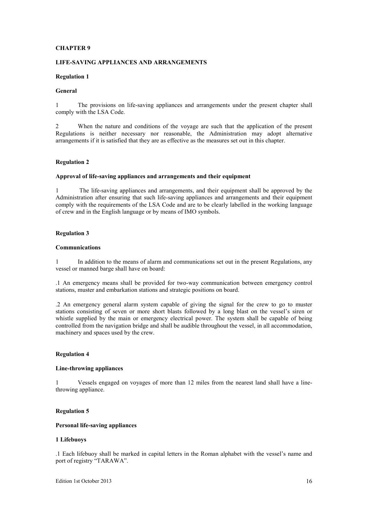## **LIFE-SAVING APPLIANCES AND ARRANGEMENTS**

## **Regulation 1**

## **General**

1 The provisions on life-saving appliances and arrangements under the present chapter shall comply with the LSA Code.

2 When the nature and conditions of the voyage are such that the application of the present Regulations is neither necessary nor reasonable, the Administration may adopt alternative arrangements if it is satisfied that they are as effective as the measures set out in this chapter.

## **Regulation 2**

#### **Approval of life-saving appliances and arrangements and their equipment**

1 The life-saving appliances and arrangements, and their equipment shall be approved by the Administration after ensuring that such life-saving appliances and arrangements and their equipment comply with the requirements of the LSA Code and are to be clearly labelled in the working language of crew and in the English language or by means of IMO symbols.

## **Regulation 3**

#### **Communications**

1 In addition to the means of alarm and communications set out in the present Regulations, any vessel or manned barge shall have on board:

.1 An emergency means shall be provided for two-way communication between emergency control stations, muster and embarkation stations and strategic positions on board.

.2 An emergency general alarm system capable of giving the signal for the crew to go to muster stations consisting of seven or more short blasts followed by a long blast on the vessel's siren or whistle supplied by the main or emergency electrical power. The system shall be capable of being controlled from the navigation bridge and shall be audible throughout the vessel, in all accommodation, machinery and spaces used by the crew.

#### **Regulation 4**

## **Line-throwing appliances**

1 Vessels engaged on voyages of more than 12 miles from the nearest land shall have a linethrowing appliance.

## **Regulation 5**

# **Personal life-saving appliances**

#### **1 Lifebuoys**

.1 Each lifebuoy shall be marked in capital letters in the Roman alphabet with the vessel's name and port of registry "TARAWA".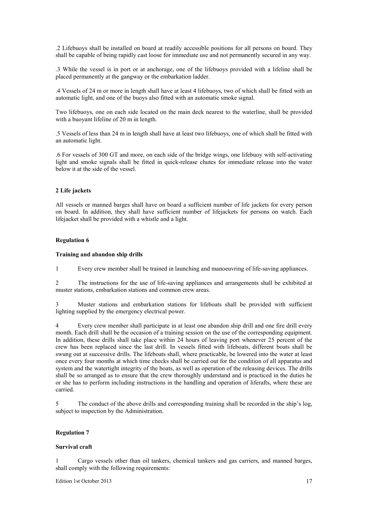.2 Lifebuoys shall be installed on board at readily accessible positions for all persons on board. They shall be capable of being rapidly cast loose for immediate use and not permanently secured in any way.

.3 While the vessel is in port or at anchorage, one of the lifebuoys provided with a lifeline shall be placed permanently at the gangway or the embarkation ladder.

.4 Vessels of 24 m or more in length shall have at least 4 lifebuoys, two of which shall be fitted with an automatic light, and one of the buoys also fitted with an automatic smoke signal.

Two lifebuoys, one on each side located on the main deck nearest to the waterline, shall be provided with a buoyant lifeline of 20 m in length.

.5 Vessels of less than 24 m in length shall have at least two lifebuoys, one of which shall be fitted with an automatic light.

.6 For vessels of 300 GT and more, on each side of the bridge wings, one lifebuoy with self-activating light and smoke signals shall be fitted in quick-release chutes for immediate release into the water below it at the side of the vessel.

#### **2 Life jackets**

All vessels or manned barges shall have on board a sufficient number of life jackets for every person on board. In addition, they shall have sufficient number of lifejackets for persons on watch. Each lifejacket shall be provided with a whistle and a light.

## **Regulation 6**

#### **Training and abandon ship drills**

1 Every crew member shall be trained in launching and manoeuvring of life-saving appliances.

2 The instructions for the use of life-saving appliances and arrangements shall be exhibited at muster stations, embarkation stations and common crew areas.

3 Muster stations and embarkation stations for lifeboats shall be provided with sufficient lighting supplied by the emergency electrical power.

4 Every crew member shall participate in at least one abandon ship drill and one fire drill every month. Each drill shall be the occasion of a training session on the use of the corresponding equipment. In addition, these drills shall take place within 24 hours of leaving port whenever 25 percent of the crew has been replaced since the last drill. In vessels fitted with lifeboats, different boats shall be swung out at successive drills. The lifeboats shall, where practicable, be lowered into the water at least once every four months at which time checks shall be carried out for the condition of all apparatus and system and the watertight integrity of the boats, as well as operation of the releasing devices. The drills shall be so arranged as to ensure that the crew thoroughly understand and is practiced in the duties he or she has to perform including instructions in the handling and operation of liferafts, where these are carried.

5 The conduct of the above drills and corresponding training shall be recorded in the ship's log, subject to inspection by the Administration.

## **Regulation 7**

## **Survival craft**

1 Cargo vessels other than oil tankers, chemical tankers and gas carriers, and manned barges, shall comply with the following requirements:

Edition 1st October 2013 17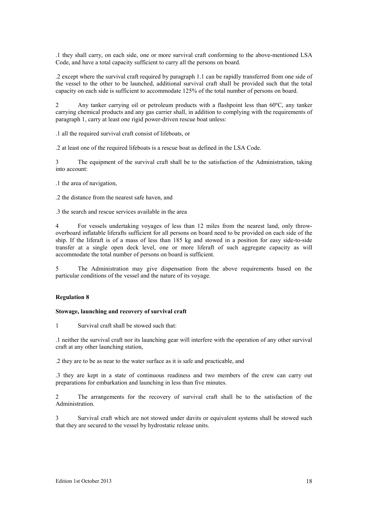.1 they shall carry, on each side, one or more survival craft conforming to the above-mentioned LSA Code, and have a total capacity sufficient to carry all the persons on board.

.2 except where the survival craft required by paragraph 1.1 can be rapidly transferred from one side of the vessel to the other to be launched, additional survival craft shall be provided such that the total capacity on each side is sufficient to accommodate 125% of the total number of persons on board.

2 Any tanker carrying oil or petroleum products with a flashpoint less than 60ºC, any tanker carrying chemical products and any gas carrier shall, in addition to complying with the requirements of paragraph 1, carry at least one rigid power-driven rescue boat unless:

.1 all the required survival craft consist of lifeboats, or

.2 at least one of the required lifeboats is a rescue boat as defined in the LSA Code.

3 The equipment of the survival craft shall be to the satisfaction of the Administration, taking into account:

.1 the area of navigation,

.2 the distance from the nearest safe haven, and

.3 the search and rescue services available in the area

4 For vessels undertaking voyages of less than 12 miles from the nearest land, only throwoverboard inflatable liferafts sufficient for all persons on board need to be provided on each side of the ship. If the liferaft is of a mass of less than 185 kg and stowed in a position for easy side-to-side transfer at a single open deck level, one or more liferaft of such aggregate capacity as will accommodate the total number of persons on board is sufficient.

5 The Administration may give dispensation from the above requirements based on the particular conditions of the vessel and the nature of its voyage.

# **Regulation 8**

#### **Stowage, launching and recovery of survival craft**

1 Survival craft shall be stowed such that:

.1 neither the survival craft nor its launching gear will interfere with the operation of any other survival craft at any other launching station,

.2 they are to be as near to the water surface as it is safe and practicable, and

.3 they are kept in a state of continuous readiness and two members of the crew can carry out preparations for embarkation and launching in less than five minutes.

2 The arrangements for the recovery of survival craft shall be to the satisfaction of the Administration.

3 Survival craft which are not stowed under davits or equivalent systems shall be stowed such that they are secured to the vessel by hydrostatic release units.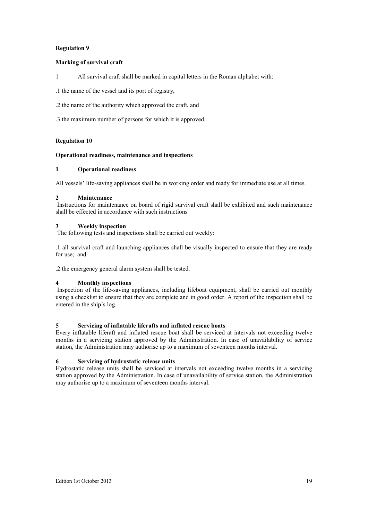# **Regulation 9**

# **Marking of survival craft**

1 All survival craft shall be marked in capital letters in the Roman alphabet with:

.1 the name of the vessel and its port of registry,

.2 the name of the authority which approved the craft, and

.3 the maximum number of persons for which it is approved.

# **Regulation 10**

# **Operational readiness, maintenance and inspections**

# **1 Operational readiness**

All vessels' life-saving appliances shall be in working order and ready for immediate use at all times.

# **2 Maintenance**

 Instructions for maintenance on board of rigid survival craft shall be exhibited and such maintenance shall be effected in accordance with such instructions

# **3 Weekly inspection**

The following tests and inspections shall be carried out weekly:

.1 all survival craft and launching appliances shall be visually inspected to ensure that they are ready for use; and

.2 the emergency general alarm system shall be tested.

# **4 Monthly inspections**

 Inspection of the life-saving appliances, including lifeboat equipment, shall be carried out monthly using a checklist to ensure that they are complete and in good order. A report of the inspection shall be entered in the ship's log.

# **5 Servicing of inflatable liferafts and inflated rescue boats**

Every inflatable liferaft and inflated rescue boat shall be serviced at intervals not exceeding twelve months in a servicing station approved by the Administration. In case of unavailability of service station, the Administration may authorise up to a maximum of seventeen months interval.

# **6 Servicing of hydrostatic release units**

Hydrostatic release units shall be serviced at intervals not exceeding twelve months in a servicing station approved by the Administration. In case of unavailability of service station, the Administration may authorise up to a maximum of seventeen months interval.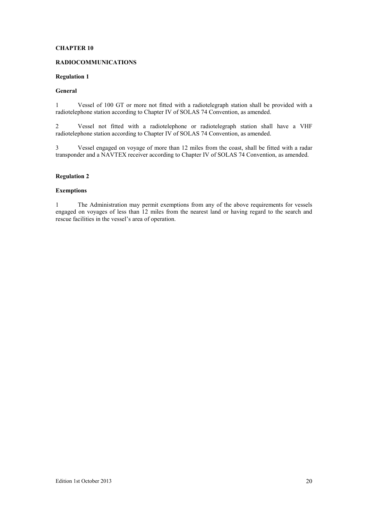## **RADIOCOMMUNICATIONS**

## **Regulation 1**

## **General**

1 Vessel of 100 GT or more not fitted with a radiotelegraph station shall be provided with a radiotelephone station according to Chapter IV of SOLAS 74 Convention, as amended.

2 Vessel not fitted with a radiotelephone or radiotelegraph station shall have a VHF radiotelephone station according to Chapter IV of SOLAS 74 Convention, as amended.

3 Vessel engaged on voyage of more than 12 miles from the coast, shall be fitted with a radar transponder and a NAVTEX receiver according to Chapter IV of SOLAS 74 Convention, as amended.

# **Regulation 2**

## **Exemptions**

1 The Administration may permit exemptions from any of the above requirements for vessels engaged on voyages of less than 12 miles from the nearest land or having regard to the search and rescue facilities in the vessel's area of operation.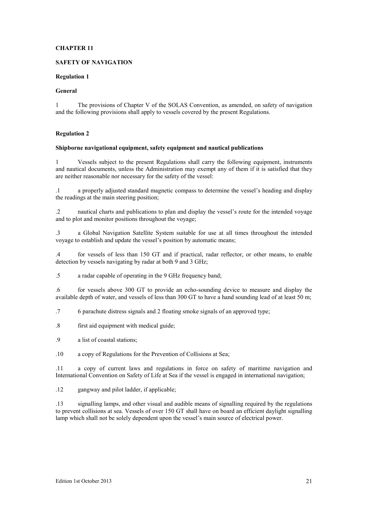# **SAFETY OF NAVIGATION**

# **Regulation 1**

# **General**

1 The provisions of Chapter V of the SOLAS Convention, as amended, on safety of navigation and the following provisions shall apply to vessels covered by the present Regulations.

# **Regulation 2**

## **Shipborne navigational equipment, safety equipment and nautical publications**

1 Vessels subject to the present Regulations shall carry the following equipment, instruments and nautical documents, unless the Administration may exempt any of them if it is satisfied that they are neither reasonable nor necessary for the safety of the vessel:

.1 a properly adjusted standard magnetic compass to determine the vessel's heading and display the readings at the main steering position;

.2 nautical charts and publications to plan and display the vessel's route for the intended voyage and to plot and monitor positions throughout the voyage;

.3 a Global Navigation Satellite System suitable for use at all times throughout the intended voyage to establish and update the vessel's position by automatic means;

.4 for vessels of less than 150 GT and if practical, radar reflector, or other means, to enable detection by vessels navigating by radar at both 9 and 3 GHz;

.5 a radar capable of operating in the 9 GHz frequency band;

.6 for vessels above 300 GT to provide an echo-sounding device to measure and display the available depth of water, and vessels of less than 300 GT to have a hand sounding lead of at least 50 m;

.7 6 parachute distress signals and 2 floating smoke signals of an approved type;

- .8 first aid equipment with medical guide;
- .9 a list of coastal stations;

.10 a copy of Regulations for the Prevention of Collisions at Sea;

.11 a copy of current laws and regulations in force on safety of maritime navigation and International Convention on Safety of Life at Sea if the vessel is engaged in international navigation;

.12 gangway and pilot ladder, if applicable;

.13 signalling lamps, and other visual and audible means of signalling required by the regulations to prevent collisions at sea. Vessels of over 150 GT shall have on board an efficient daylight signalling lamp which shall not be solely dependent upon the vessel's main source of electrical power.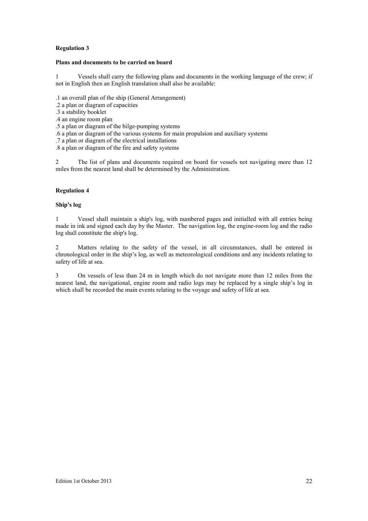# **Regulation 3**

## **Plans and documents to be carried on board**

1 Vessels shall carry the following plans and documents in the working language of the crew; if not in English then an English translation shall also be available:

- .1 an overall plan of the ship (General Arrangement)
- .2 a plan or diagram of capacities
- .3 a stability booklet
- .4 an engine room plan
- .5 a plan or diagram of the bilge-pumping systems
- .6 a plan or diagram of the various systems for main propulsion and auxiliary systems
- .7 a plan or diagram of the electrical installations
- .8 a plan or diagram of the fire and safety systems

2 The list of plans and documents required on board for vessels not navigating more than 12 miles from the nearest land shall be determined by the Administration.

# **Regulation 4**

## **Ship's log**

1 Vessel shall maintain a ship's log, with numbered pages and initialled with all entries being made in ink and signed each day by the Master. The navigation log, the engine-room log and the radio log shall constitute the ship's log.

2 Matters relating to the safety of the vessel, in all circumstances, shall be entered in chronological order in the ship's log, as well as meteorological conditions and any incidents relating to safety of life at sea.

3 On vessels of less than 24 m in length which do not navigate more than 12 miles from the nearest land, the navigational, engine room and radio logs may be replaced by a single ship's log in which shall be recorded the main events relating to the voyage and safety of life at sea.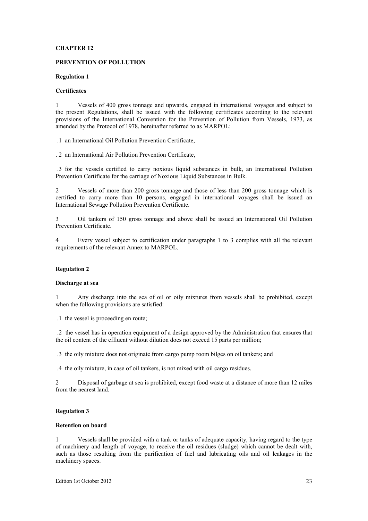#### **PREVENTION OF POLLUTION**

#### **Regulation 1**

## **Certificates**

1 Vessels of 400 gross tonnage and upwards, engaged in international voyages and subject to the present Regulations, shall be issued with the following certificates according to the relevant provisions of the International Convention for the Prevention of Pollution from Vessels, 1973, as amended by the Protocol of 1978, hereinafter referred to as MARPOL:

.1 an International Oil Pollution Prevention Certificate,

. 2 an International Air Pollution Prevention Certificate,

 .3 for the vessels certified to carry noxious liquid substances in bulk, an International Pollution Prevention Certificate for the carriage of Noxious Liquid Substances in Bulk.

2 Vessels of more than 200 gross tonnage and those of less than 200 gross tonnage which is certified to carry more than 10 persons, engaged in international voyages shall be issued an International Sewage Pollution Prevention Certificate.

3 Oil tankers of 150 gross tonnage and above shall be issued an International Oil Pollution Prevention Certificate.

4 Every vessel subject to certification under paragraphs 1 to 3 complies with all the relevant requirements of the relevant Annex to MARPOL.

#### **Regulation 2**

## **Discharge at sea**

1 Any discharge into the sea of oil or oily mixtures from vessels shall be prohibited, except when the following provisions are satisfied:

.1 the vessel is proceeding en route;

 .2 the vessel has in operation equipment of a design approved by the Administration that ensures that the oil content of the effluent without dilution does not exceed 15 parts per million;

.3 the oily mixture does not originate from cargo pump room bilges on oil tankers; and

.4 the oily mixture, in case of oil tankers, is not mixed with oil cargo residues.

2 Disposal of garbage at sea is prohibited, except food waste at a distance of more than 12 miles from the nearest land.

# **Regulation 3**

## **Retention on board**

1 Vessels shall be provided with a tank or tanks of adequate capacity, having regard to the type of machinery and length of voyage, to receive the oil residues (sludge) which cannot be dealt with, such as those resulting from the purification of fuel and lubricating oils and oil leakages in the machinery spaces.